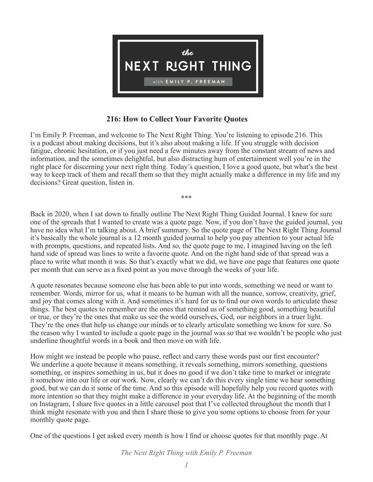

## **216: How to Collect Your Favorite Quotes**

I'm Emily P. Freeman, and welcome to The Next Right Thing. You're listening to episode 216. This is a podcast about making decisions, but it's also about making a life. If you struggle with decision fatigue, chronic hesitation, or if you just need a few minutes away from the constant stream of news and information, and the sometimes delightful, but also distracting hum of entertainment well you're in the right place for discerning your next right thing. Today's question, I love a good quote, but what's the best way to keep track of them and recall them so that they might actually make a difference in my life and my decisions? Great question, listen in.

\*\*\*

Back in 2020, when I sat down to finally outline The Next Right Thing Guided Journal, I knew for sure one of the spreads that I wanted to create was a quote page. Now, if you don't have the guided journal, you have no idea what I'm talking about. A brief summary. So the quote page of The Next Right Thing Journal it's basically the whole journal is a 12 month guided journal to help you pay attention to your actual life with prompts, questions, and repeated lists. And so, the quote page to me, I imagined having on the left hand side of spread was lines to write a favorite quote. And on the right hand side of that spread was a place to write what month it was. So that's exactly what we did, we have one page that features one quote per month that can serve as a fixed point as you move through the weeks of your life.

A quote resonates because someone else has been able to put into words, something we need or want to remember. Words, mirror for us, what it means to be human with all the nuance, sorrow, creativity, grief, and joy that comes along with it. And sometimes it's hard for us to find our own words to articulate those things. The best quotes to remember are the ones that remind us of something good, something beautiful or true, or they're the ones that make us see the world ourselves, God, our neighbors in a truer light. They're the ones that help us change our minds or to clearly articulate something we know for sure. So the reason why I wanted to include a quote page in the journal was so that we wouldn't be people who just underline thoughtful words in a book and then move on with life.

How might we instead be people who pause, reflect and carry these words past our first encounter? We underline a quote because it means something, it reveals something, mirrors something, questions something, or inspires something in us, but it does no good if we don't take time to market or integrate it somehow into our life or our work. Now, clearly we can't do this every single time we hear something good, but we can do it some of the time. And so this episode will hopefully help you record quotes with more intention so that they might make a difference in your everyday life. At the beginning of the month on Instagram, I share five quotes in a little carousel post that I've collected throughout the month that I think might resonate with you and then I share those to give you some options to choose from for your monthly quote page.

One of the questions I get asked every month is how I find or choose quotes for that monthly page. At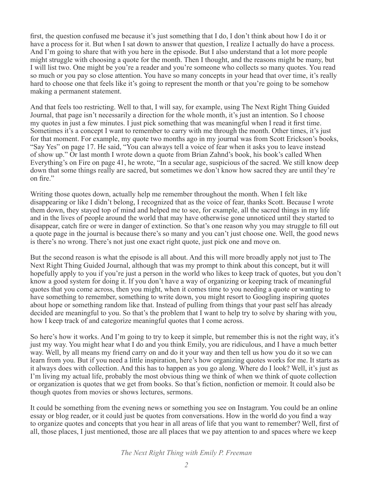first, the question confused me because it's just something that I do, I don't think about how I do it or have a process for it. But when I sat down to answer that question, I realize I actually do have a process. And I'm going to share that with you here in the episode. But I also understand that a lot more people might struggle with choosing a quote for the month. Then I thought, and the reasons might be many, but I will list two. One might be you're a reader and you're someone who collects so many quotes. You read so much or you pay so close attention. You have so many concepts in your head that over time, it's really hard to choose one that feels like it's going to represent the month or that you're going to be somehow making a permanent statement.

And that feels too restricting. Well to that, I will say, for example, using The Next Right Thing Guided Journal, that page isn't necessarily a direction for the whole month, it's just an intention. So I choose my quotes in just a few minutes. I just pick something that was meaningful when I read it first time. Sometimes it's a concept I want to remember to carry with me through the month. Other times, it's just for that moment. For example, my quote two months ago in my journal was from Scott Erickson's books, "Say Yes" on page 17. He said, "You can always tell a voice of fear when it asks you to leave instead of show up." Or last month I wrote down a quote from Brian Zahnd's book, his book's called When Everything's on Fire on page 41, he wrote, "In a secular age, suspicious of the sacred. We still know deep down that some things really are sacred, but sometimes we don't know how sacred they are until they're on fire."

Writing those quotes down, actually help me remember throughout the month. When I felt like disappearing or like I didn't belong, I recognized that as the voice of fear, thanks Scott. Because I wrote them down, they stayed top of mind and helped me to see, for example, all the sacred things in my life and in the lives of people around the world that may have otherwise gone unnoticed until they started to disappear, catch fire or were in danger of extinction. So that's one reason why you may struggle to fill out a quote page in the journal is because there's so many and you can't just choose one. Well, the good news is there's no wrong. There's not just one exact right quote, just pick one and move on.

But the second reason is what the episode is all about. And this will more broadly apply not just to The Next Right Thing Guided Journal, although that was my prompt to think about this concept, but it will hopefully apply to you if you're just a person in the world who likes to keep track of quotes, but you don't know a good system for doing it. If you don't have a way of organizing or keeping track of meaningful quotes that you come across, then you might, when it comes time to you needing a quote or wanting to have something to remember, something to write down, you might resort to Googling inspiring quotes about hope or something random like that. Instead of pulling from things that your past self has already decided are meaningful to you. So that's the problem that I want to help try to solve by sharing with you, how I keep track of and categorize meaningful quotes that I come across.

So here's how it works. And I'm going to try to keep it simple, but remember this is not the right way, it's just my way. You might hear what I do and you think Emily, you are ridiculous, and I have a much better way. Well, by all means my friend carry on and do it your way and then tell us how you do it so we can learn from you. But if you need a little inspiration, here's how organizing quotes works for me. It starts as it always does with collection. And this has to happen as you go along. Where do I look? Well, it's just as I'm living my actual life, probably the most obvious thing we think of when we think of quote collection or organization is quotes that we get from books. So that's fiction, nonfiction or memoir. It could also be though quotes from movies or shows lectures, sermons.

It could be something from the evening news or something you see on Instagram. You could be an online essay or blog reader, or it could just be quotes from conversations. How in the world do you find a way to organize quotes and concepts that you hear in all areas of life that you want to remember? Well, first of all, those places, I just mentioned, those are all places that we pay attention to and spaces where we keep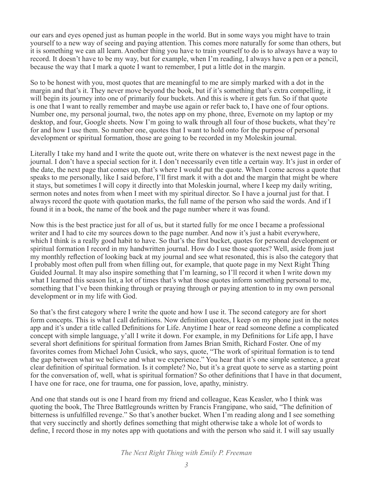our ears and eyes opened just as human people in the world. But in some ways you might have to train yourself to a new way of seeing and paying attention. This comes more naturally for some than others, but it is something we can all learn. Another thing you have to train yourself to do is to always have a way to record. It doesn't have to be my way, but for example, when I'm reading, I always have a pen or a pencil, because the way that I mark a quote I want to remember, I put a little dot in the margin.

So to be honest with you, most quotes that are meaningful to me are simply marked with a dot in the margin and that's it. They never move beyond the book, but if it's something that's extra compelling, it will begin its journey into one of primarily four buckets. And this is where it gets fun. So if that quote is one that I want to really remember and maybe use again or refer back to, I have one of four options. Number one, my personal journal, two, the notes app on my phone, three, Evernote on my laptop or my desktop, and four, Google sheets. Now I'm going to walk through all four of those buckets, what they're for and how I use them. So number one, quotes that I want to hold onto for the purpose of personal development or spiritual formation, those are going to be recorded in my Moleskin journal.

Literally I take my hand and I write the quote out, write there on whatever is the next newest page in the journal. I don't have a special section for it. I don't necessarily even title a certain way. It's just in order of the date, the next page that comes up, that's where I would put the quote. When I come across a quote that speaks to me personally, like I said before, I'll first mark it with a dot and the margin that might be where it stays, but sometimes I will copy it directly into that Moleskin journal, where I keep my daily writing, sermon notes and notes from when I meet with my spiritual director. So I have a journal just for that. I always record the quote with quotation marks, the full name of the person who said the words. And if I found it in a book, the name of the book and the page number where it was found.

Now this is the best practice just for all of us, but it started fully for me once I became a professional writer and I had to cite my sources down to the page number. And now it's just a habit everywhere, which I think is a really good habit to have. So that's the first bucket, quotes for personal development or spiritual formation I record in my handwritten journal. How do I use those quotes? Well, aside from just my monthly reflection of looking back at my journal and see what resonated, this is also the category that I probably most often pull from when filling out, for example, that quote page in my Next Right Thing Guided Journal. It may also inspire something that I'm learning, so I'll record it when I write down my what I learned this season list, a lot of times that's what those quotes inform something personal to me, something that I've been thinking through or praying through or paying attention to in my own personal development or in my life with God.

So that's the first category where I write the quote and how I use it. The second category are for short form concepts. This is what I call definitions. Now definition quotes, I keep on my phone just in the notes app and it's under a title called Definitions for Life. Anytime I hear or read someone define a complicated concept with simple language, y'all I write it down. For example, in my Definitions for Life app, I have several short definitions for spiritual formation from James Brian Smith, Richard Foster. One of my favorites comes from Michael John Cusick, who says, quote, "The work of spiritual formation is to tend the gap between what we believe and what we experience." You hear that it's one simple sentence, a great clear definition of spiritual formation. Is it complete? No, but it's a great quote to serve as a starting point for the conversation of, well, what is spiritual formation? So other definitions that I have in that document, I have one for race, one for trauma, one for passion, love, apathy, ministry.

And one that stands out is one I heard from my friend and colleague, Keas Keasler, who I think was quoting the book, The Three Battlegrounds written by Francis Frangipane, who said, "The definition of bitterness is unfulfilled revenge." So that's another bucket. When I'm reading along and I see something that very succinctly and shortly defines something that might otherwise take a whole lot of words to define, I record those in my notes app with quotations and with the person who said it. I will say usually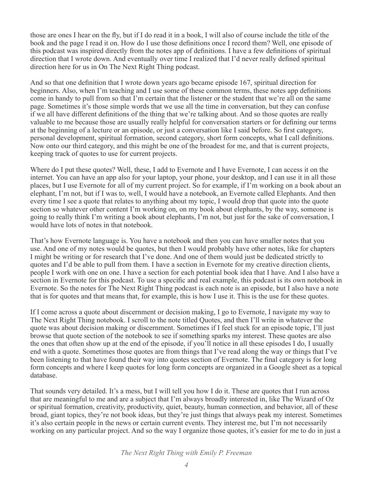those are ones I hear on the fly, but if I do read it in a book, I will also of course include the title of the book and the page I read it on. How do I use those definitions once I record them? Well, one episode of this podcast was inspired directly from the notes app of definitions. I have a few definitions of spiritual direction that I wrote down. And eventually over time I realized that I'd never really defined spiritual direction here for us in On The Next Right Thing podcast.

And so that one definition that I wrote down years ago became episode 167, spiritual direction for beginners. Also, when I'm teaching and I use some of these common terms, these notes app definitions come in handy to pull from so that I'm certain that the listener or the student that we're all on the same page. Sometimes it's those simple words that we use all the time in conversation, but they can confuse if we all have different definitions of the thing that we're talking about. And so those quotes are really valuable to me because those are usually really helpful for conversation starters or for defining our terms at the beginning of a lecture or an episode, or just a conversation like I said before. So first category, personal development, spiritual formation, second category, short form concepts, what I call definitions. Now onto our third category, and this might be one of the broadest for me, and that is current projects, keeping track of quotes to use for current projects.

Where do I put these quotes? Well, these, I add to Evernote and I have Evernote, I can access it on the internet. You can have an app also for your laptop, your phone, your desktop, and I can use it in all those places, but I use Evernote for all of my current project. So for example, if I'm working on a book about an elephant, I'm not, but if I was to, well, I would have a notebook, an Evernote called Elephants. And then every time I see a quote that relates to anything about my topic, I would drop that quote into the quote section so whatever other content I'm working on, on my book about elephants, by the way, someone is going to really think I'm writing a book about elephants, I'm not, but just for the sake of conversation, I would have lots of notes in that notebook.

That's how Evernote language is. You have a notebook and then you can have smaller notes that you use. And one of my notes would be quotes, but then I would probably have other notes, like for chapters I might be writing or for research that I've done. And one of them would just be dedicated strictly to quotes and I'd be able to pull from them. I have a section in Evernote for my creative direction clients, people I work with one on one. I have a section for each potential book idea that I have. And I also have a section in Evernote for this podcast. To use a specific and real example, this podcast is its own notebook in Evernote. So the notes for The Next Right Thing podcast is each note is an episode, but I also have a note that is for quotes and that means that, for example, this is how I use it. This is the use for these quotes.

If I come across a quote about discernment or decision making, I go to Evernote, I navigate my way to The Next Right Thing notebook. I scroll to the note titled Quotes, and then I'll write in whatever the quote was about decision making or discernment. Sometimes if I feel stuck for an episode topic, I'll just browse that quote section of the notebook to see if something sparks my interest. These quotes are also the ones that often show up at the end of the episode, if you'll notice in all these episodes I do, I usually end with a quote. Sometimes those quotes are from things that I've read along the way or things that I've been listening to that have found their way into quotes section of Evernote. The final category is for long form concepts and where I keep quotes for long form concepts are organized in a Google sheet as a topical database.

That sounds very detailed. It's a mess, but I will tell you how I do it. These are quotes that I run across that are meaningful to me and are a subject that I'm always broadly interested in, like The Wizard of Oz or spiritual formation, creativity, productivity, quiet, beauty, human connection, and behavior, all of these broad, giant topics, they're not book ideas, but they're just things that always peak my interest. Sometimes it's also certain people in the news or certain current events. They interest me, but I'm not necessarily working on any particular project. And so the way I organize those quotes, it's easier for me to do in just a